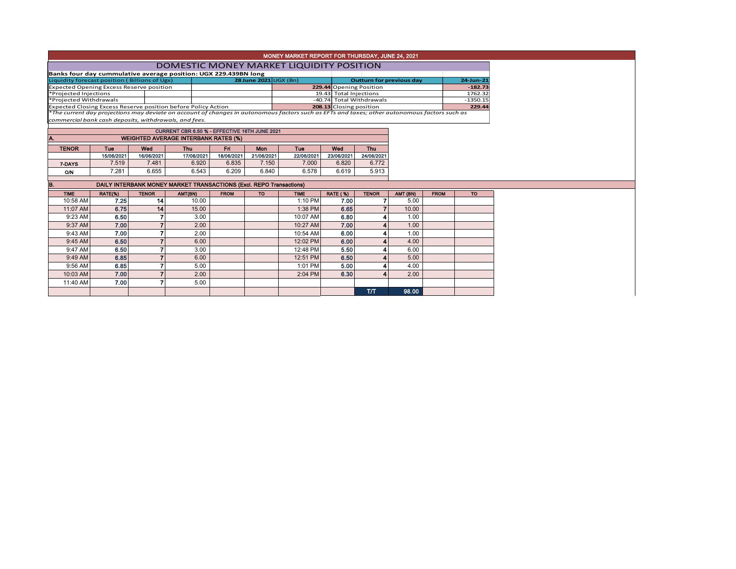| MONEY MARKET REPORT FOR THURSDAY, JUNE 24, 2021 |
|-------------------------------------------------|
|                                                 |

## DOMESTIC MONEY MARKET LIQUIDITY POSITION

| Banks four day cummulative average position: UGX 229.439BN long                                                                               |  |                       |  |                          |                          |            |
|-----------------------------------------------------------------------------------------------------------------------------------------------|--|-----------------------|--|--------------------------|--------------------------|------------|
| Liquidity forecast position (Billions of Ugx)                                                                                                 |  | 28 June 2021 UGX (Bn) |  |                          | Outturn for previous day | 24-Jun-21  |
| <b>Expected Opening Excess Reserve position</b>                                                                                               |  |                       |  | 229.44 Opening Position  |                          | $-182.73$  |
| *Projected Injections                                                                                                                         |  |                       |  | 19.43 Total Injections   |                          | 1762.32    |
| *Projected Withdrawals                                                                                                                        |  |                       |  | -40.74 Total Withdrawals |                          | $-1350.15$ |
| Expected Closing Excess Reserve position before Policy Action                                                                                 |  |                       |  | 208.13 Closing position  |                          | 229.44     |
| *The current day projections may deviate on account of changes in autonomous factors such as EFTs and taxes; other autonomous factors such as |  |                       |  |                          |                          |            |

*commercial bank cash deposits, withdrawals, and fees.*

|              | CURRENT CBR 6.50 % - EFFECTIVE 16TH JUNE 2021 |            |            |            |            |            |            |            |  |  |  |  |  |  |
|--------------|-----------------------------------------------|------------|------------|------------|------------|------------|------------|------------|--|--|--|--|--|--|
| A.           | <b>WEIGHTED AVERAGE INTERBANK RATES (%)</b>   |            |            |            |            |            |            |            |  |  |  |  |  |  |
| <b>TENOR</b> | Tue                                           | Wed        | Thu        | Fri        | Mon        | Tue        | Wed        | Thu.       |  |  |  |  |  |  |
|              | 15/06/2021                                    | 16/06/2021 | 17/06/2021 | 18/06/2021 | 21/06/2021 | 22/06/2021 | 23/06/2021 | 24/06/2021 |  |  |  |  |  |  |
| 7-DAYS       | 7.519                                         | 7.481      | 6.920      | 6.835      | 7.150      | 7.000      | 6.820      | 6.772      |  |  |  |  |  |  |
| O/N          | 7.281                                         | 6.655      | 6.543      | 6.209      | 6.840      | 6.578      | 6.619      | 5.913      |  |  |  |  |  |  |

|  | DAILY INTERBANK MONEY MARKET TRANSACTIONS (Excl. REPO Transactions) |  |  |
|--|---------------------------------------------------------------------|--|--|
|  |                                                                     |  |  |
|  |                                                                     |  |  |

| <b>TIME</b> | RATE(%) | <b>TENOR</b>    | AMT(BN) | <b>FROM</b> | <b>TO</b> | <b>TIME</b> | <b>RATE (%)</b> | <b>TENOR</b> | AMT (BN) | <b>FROM</b> | <b>TO</b> |
|-------------|---------|-----------------|---------|-------------|-----------|-------------|-----------------|--------------|----------|-------------|-----------|
| 10:58 AM    | 7.25    | 14 <sup>1</sup> | 10.00   |             |           | 1:10 PM     | 7.00            |              | 5.00     |             |           |
| 11:07 AM    | 6.75    | 14 <sup>1</sup> | 15.00   |             |           | 1:38 PM     | 6.65            |              | 10.00    |             |           |
| 9:23 AM     | 6.50    |                 | 3.00    |             |           | 10:07 AM    | 6.80            |              | 1.00     |             |           |
| 9:37 AM     | 7.00    |                 | 2.00    |             |           | 10:27 AM    | 7.00            |              | 1.00     |             |           |
| 9:43 AM     | 7.00    |                 | 2.00    |             |           | 10:54 AM    | 6.00            |              | 1.00     |             |           |
| $9:45$ AM   | 6.50    |                 | 6.00    |             |           | 12:02 PM    | 6.00            |              | 4.00     |             |           |
| 9:47 AM     | 6.50    |                 | 3.00    |             |           | 12:48 PM    | 5.50            |              | 6.00     |             |           |
| $9:49$ AM   | 6.85    |                 | 6.00    |             |           | 12:51 PM    | 6.50            |              | 5.00     |             |           |
| 9:56 AM     | 6.85    |                 | 5.00    |             |           | 1:01 PM     | 5.00            |              | 4.00     |             |           |
| 10:03 AM    | 7.00    |                 | 2.00    |             |           | 2:04 PM     | 6.30            | A            | 2.00     |             |           |
| 11:40 AM    | 7.00    |                 | 5.00    |             |           |             |                 |              |          |             |           |
|             |         |                 |         |             |           |             |                 | TЛ           | 98.00    |             |           |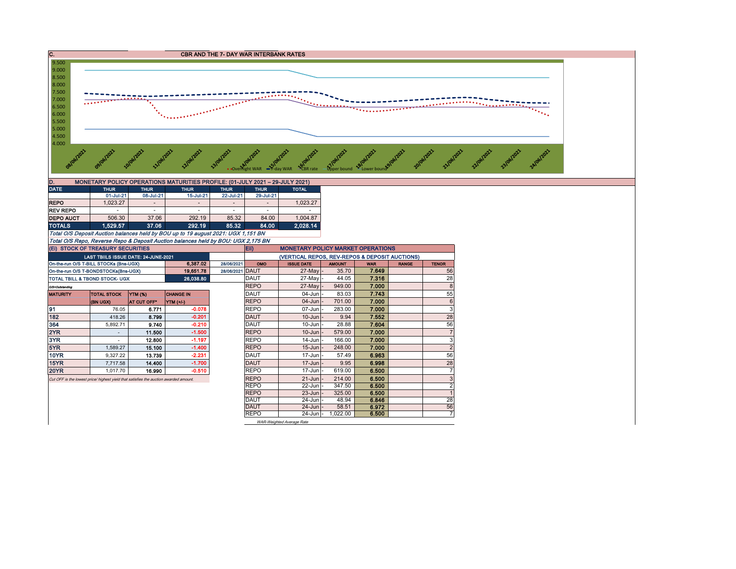

| D.                         | MONETARY POLICY OPERATIONS MATURITIES PROFILE: (01-JULY 2021 - 29-JULY 2021) |             |             |             |                          |              |  |  |  |  |  |  |  |  |
|----------------------------|------------------------------------------------------------------------------|-------------|-------------|-------------|--------------------------|--------------|--|--|--|--|--|--|--|--|
| <b>DATE</b><br><b>THUR</b> |                                                                              | <b>THUR</b> | <b>THUR</b> | <b>THUR</b> | <b>THUR</b>              | <b>TOTAL</b> |  |  |  |  |  |  |  |  |
|                            | 01-Jul-21                                                                    | 08-Jul-21   | 15-Jul-21   | 22-Jul-21   | 29-Jul-21                |              |  |  |  |  |  |  |  |  |
| <b>REPO</b>                | 1.023.27                                                                     |             | -           |             | $\overline{\phantom{a}}$ | 1.023.27     |  |  |  |  |  |  |  |  |
| <b>REV REPO</b>            |                                                                              |             | ۰           |             | ۰                        |              |  |  |  |  |  |  |  |  |
| <b>DEPO AUCT</b>           | 506.30                                                                       | 37.06       | 292.19      | 85.32       | 84.00                    | 1.004.87     |  |  |  |  |  |  |  |  |
| <b>TOTALS</b>              | 1.529.57                                                                     | 37.06       | 292.19      | 85.32       | 84.00                    | 2.028.14     |  |  |  |  |  |  |  |  |
|                            |                                                                              |             |             |             |                          |              |  |  |  |  |  |  |  |  |

Total O/S Deposit Auction balances held by BOU up to 19 august 2021: UGX 1,151 BN Total O/S Repo, Reverse Repo & Deposit Auction balances held by BOU: UGX 2,175 BN

|                                                                                                                                                                                                                                                                                                                                                                                                                                                                                                                                                                                                                                                                                                                                                                                                                                                                  |  |  |  |            | Eii)        | <b>MONETARY POLICY MARKET OPERATIONS</b>       |               |            |              |                |
|------------------------------------------------------------------------------------------------------------------------------------------------------------------------------------------------------------------------------------------------------------------------------------------------------------------------------------------------------------------------------------------------------------------------------------------------------------------------------------------------------------------------------------------------------------------------------------------------------------------------------------------------------------------------------------------------------------------------------------------------------------------------------------------------------------------------------------------------------------------|--|--|--|------------|-------------|------------------------------------------------|---------------|------------|--------------|----------------|
| (EI) STOCK OF TREASURY SECURITIES<br>LAST TBIILS ISSUE DATE: 24-JUNE-2021<br>On-the-run O/S T-BILL STOCKs (Bns-UGX)<br>6.387.02<br>19,651.78<br>On-the-run O/S T-BONDSTOCKs(Bns-UGX)<br>26,038.80<br><b>TOTAL TBILL &amp; TBOND STOCK- UGX</b><br>O/S=Outstanding<br><b>YTM (%)</b><br><b>CHANGE IN</b><br><b>MATURITY</b><br><b>TOTAL STOCK</b><br><b>(BN UGX)</b><br>AT CUT OFF*<br><b>YTM (+/-)</b><br>91<br>$-0.078$<br>76.05<br>6.771<br>182<br>$-0.201$<br>418.26<br>8.799<br>364<br>$-0.210$<br>5,892.71<br>9.740<br>2YR<br>$-1.500$<br>11.500<br>3YR<br>$-1.197$<br>12.800<br>5YR<br>$-1.400$<br>15.100<br>1.589.27<br><b>10YR</b><br>$-2.231$<br>13.739<br>9.327.22<br>$-1.700$<br>15YR<br>14.400<br>7.717.58<br>$-0.510$<br><b>20YR</b><br>16.990<br>1.017.70<br>Cut OFF is the lowest price/ highest yield that satisfies the auction awarded amount. |  |  |  |            |             | (VERTICAL REPOS, REV-REPOS & DEPOSIT AUCTIONS) |               |            |              |                |
|                                                                                                                                                                                                                                                                                                                                                                                                                                                                                                                                                                                                                                                                                                                                                                                                                                                                  |  |  |  | 28/06/2021 | OMO         | <b>ISSUE DATE</b>                              | <b>AMOUNT</b> | <b>WAR</b> | <b>RANGE</b> | <b>TENOR</b>   |
|                                                                                                                                                                                                                                                                                                                                                                                                                                                                                                                                                                                                                                                                                                                                                                                                                                                                  |  |  |  | 28/06/2021 | <b>DAUT</b> | 27-May -                                       | 35.70         | 7.649      |              | 56             |
|                                                                                                                                                                                                                                                                                                                                                                                                                                                                                                                                                                                                                                                                                                                                                                                                                                                                  |  |  |  |            | <b>DAUT</b> | 27-Mayl-                                       | 44.05         | 7.316      |              | 28             |
|                                                                                                                                                                                                                                                                                                                                                                                                                                                                                                                                                                                                                                                                                                                                                                                                                                                                  |  |  |  |            | <b>REPO</b> | 27-May                                         | 949.00        | 7.000      |              | 8              |
|                                                                                                                                                                                                                                                                                                                                                                                                                                                                                                                                                                                                                                                                                                                                                                                                                                                                  |  |  |  |            | <b>DAUT</b> | $04$ -Jun $-$                                  | 83.03         | 7.743      |              | 55             |
|                                                                                                                                                                                                                                                                                                                                                                                                                                                                                                                                                                                                                                                                                                                                                                                                                                                                  |  |  |  |            | <b>REPO</b> | $04 - Jun$                                     | 701.00        | 7.000      |              | 6              |
|                                                                                                                                                                                                                                                                                                                                                                                                                                                                                                                                                                                                                                                                                                                                                                                                                                                                  |  |  |  |            | <b>REPO</b> | $07 - Jun$                                     | 283.00        | 7.000      |              | 3              |
|                                                                                                                                                                                                                                                                                                                                                                                                                                                                                                                                                                                                                                                                                                                                                                                                                                                                  |  |  |  |            | <b>DAUT</b> | $10 - Jun$                                     | 9.94          | 7.552      |              | 28             |
|                                                                                                                                                                                                                                                                                                                                                                                                                                                                                                                                                                                                                                                                                                                                                                                                                                                                  |  |  |  |            | <b>DAUT</b> | $10$ -Jun $-$                                  | 28.88         | 7.604      |              | 56             |
|                                                                                                                                                                                                                                                                                                                                                                                                                                                                                                                                                                                                                                                                                                                                                                                                                                                                  |  |  |  |            | <b>REPO</b> | $10 - Jun$                                     | 579.00        | 7.000      |              | $\overline{7}$ |
|                                                                                                                                                                                                                                                                                                                                                                                                                                                                                                                                                                                                                                                                                                                                                                                                                                                                  |  |  |  |            | <b>REPO</b> | 14-Jun                                         | 166.00        | 7.000      |              | 3              |
|                                                                                                                                                                                                                                                                                                                                                                                                                                                                                                                                                                                                                                                                                                                                                                                                                                                                  |  |  |  |            | <b>REPO</b> | $15 - Jun$                                     | 248.00        | 7.000      |              | $\overline{2}$ |
|                                                                                                                                                                                                                                                                                                                                                                                                                                                                                                                                                                                                                                                                                                                                                                                                                                                                  |  |  |  |            | <b>DAUT</b> | 17-Jun                                         | 57.49         | 6.963      |              | 56             |
|                                                                                                                                                                                                                                                                                                                                                                                                                                                                                                                                                                                                                                                                                                                                                                                                                                                                  |  |  |  |            | <b>DAUT</b> | $17$ -Jun $-$                                  | 9.95          | 6.998      |              | 28             |
|                                                                                                                                                                                                                                                                                                                                                                                                                                                                                                                                                                                                                                                                                                                                                                                                                                                                  |  |  |  |            | <b>REPO</b> | 17-Jun                                         | 619.00        | 6.500      |              | $\overline{7}$ |
|                                                                                                                                                                                                                                                                                                                                                                                                                                                                                                                                                                                                                                                                                                                                                                                                                                                                  |  |  |  |            | <b>REPO</b> | $21 - Jun$                                     | 214.00        | 6.500      |              | 3              |
|                                                                                                                                                                                                                                                                                                                                                                                                                                                                                                                                                                                                                                                                                                                                                                                                                                                                  |  |  |  |            | <b>REPO</b> | 22-Jun                                         | 347.50        | 6.500      |              | $\overline{2}$ |
|                                                                                                                                                                                                                                                                                                                                                                                                                                                                                                                                                                                                                                                                                                                                                                                                                                                                  |  |  |  |            | <b>REPO</b> | $23 - Jun$                                     | 325.00        | 6.500      |              |                |
|                                                                                                                                                                                                                                                                                                                                                                                                                                                                                                                                                                                                                                                                                                                                                                                                                                                                  |  |  |  |            | <b>DAUT</b> | $24$ -Jun $-$                                  | 48.94         | 6.846      |              | 28             |
|                                                                                                                                                                                                                                                                                                                                                                                                                                                                                                                                                                                                                                                                                                                                                                                                                                                                  |  |  |  |            | <b>DAUT</b> | $24$ -Jun $-$                                  | 58.51         | 6.972      |              | 56             |
|                                                                                                                                                                                                                                                                                                                                                                                                                                                                                                                                                                                                                                                                                                                                                                                                                                                                  |  |  |  |            | <b>REPO</b> | 24-Jun -                                       | 1.022.00      | 6.500      |              | 7              |
|                                                                                                                                                                                                                                                                                                                                                                                                                                                                                                                                                                                                                                                                                                                                                                                                                                                                  |  |  |  |            |             | WAR-Weighted Average Rate                      |               |            |              |                |